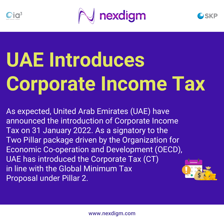



# **UAE Introduces Corporate Income Tax**

As expected, United Arab Emirates (UAE) have announced the introduction of Corporate Income Tax on 31 January 2022. As a signatory to the Two Pillar package driven by the Organization for Economic Co-operation and Development (OECD), UAE has introduced the Corporate Tax (CT) in line with the Global Minimum Tax Proposal under Pillar 2.

**SKP**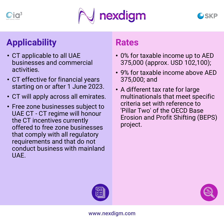





#### **Applicability**

- CT applicable to all UAE businesses and commercial activities.
- CT effective for financial years starting on or after 1 June 2023.
- CT will apply across all emirates.
- Free zone businesses subject to UAE CT - CT regime will honour the CT incentives currently offered to free zone businesses that comply with all regulatory requirements and that do not conduct business with mainland UAE.

#### **Rates**

- 0% for taxable income up to AED 375,000 (approx. USD 102,100);
- 9% for taxable income above AED 375,000; and
- A different tax rate for large multinationals that meet specific criteria set with reference to 'Pillar Two' of the OECD Base Erosion and Profit Shifting (BEPS) project.



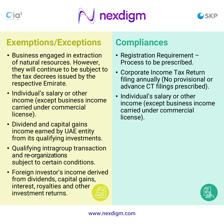



#### **Exemptions/Exceptions**

- Business engaged in extraction of natural resources. However, they will continue to be subject to the tax decrees issued by the respective Emirate.
- Individual's salary or other income (except business income carried under commercial license).
- Dividend and capital gains income earned by UAE entity from its qualifying investments.
- Qualifying intragroup transaction and re-organizations subject to certain conditions.
- Foreign investor's income derived from dividends, capital gains, interest, royalties and other investment returns.

#### **Compliances**

- Registration Requirement Process to be prescribed.
- Corporate Income Tax Return filing annually (No provisional or advance CT filings prescribed).
- Individual's salary or other income (except business income carried under commercial license).

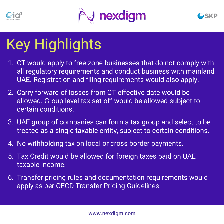





# Key Highlights

- 1. CT would apply to free zone businesses that do not comply with all regulatory requirements and conduct business with mainland UAE. Registration and filing requirements would also apply.
- 2. Carry forward of losses from CT effective date would be allowed. Group level tax set-off would be allowed subject to certain conditions.
- 3. UAE group of companies can form a tax group and select to be treated as a single taxable entity, subject to certain conditions.
- 4. No withholding tax on local or cross border payments.
- 5. Tax Credit would be allowed for foreign taxes paid on UAE taxable income.
- 6. Transfer pricing rules and documentation requirements would apply as per OECD Transfer Pricing Guidelines.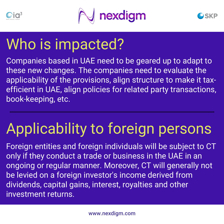





### Who is impacted?

Companies based in UAE need to be geared up to adapt to these new changes. The companies need to evaluate the applicability of the provisions, align structure to make it taxefficient in UAE, align policies for related party transactions, book-keeping, etc.

# Applicability to foreign persons

Foreign entities and foreign individuals will be subject to CT only if they conduct a trade or business in the UAE in an ongoing or regular manner. Moreover, CT will generally not be levied on a foreign investor's income derived from dividends, capital gains, interest, royalties and other investment returns.